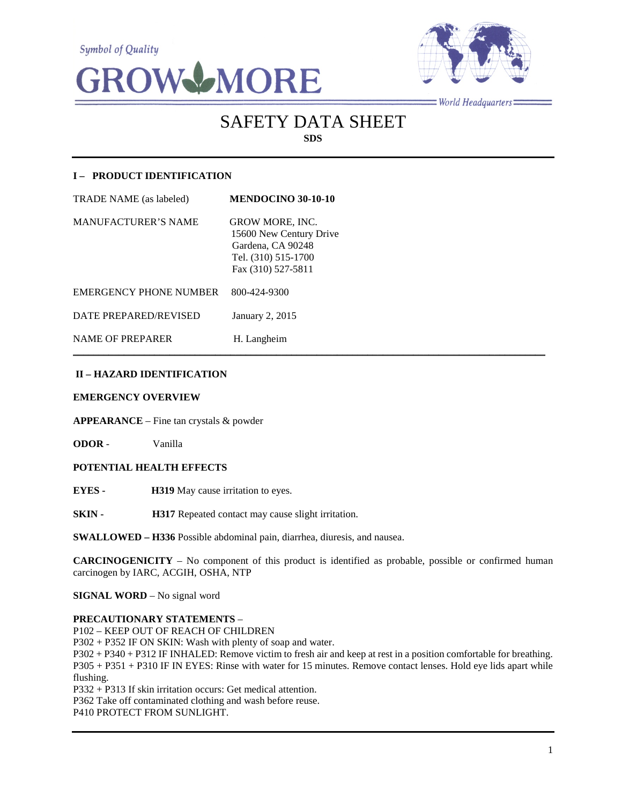**Symbol of Quality** 





 $=$ World Headquarters $=$ 

# SAFETY DATA SHEET **SDS**

# **I – PRODUCT IDENTIFICATION**

| <b>TRADE NAME</b> (as labeled) | <b>MENDOCINO 30-10-10</b>                                                                                           |
|--------------------------------|---------------------------------------------------------------------------------------------------------------------|
| <b>MANUFACTURER'S NAME</b>     | <b>GROW MORE, INC.</b><br>15600 New Century Drive<br>Gardena, CA 90248<br>Tel. (310) 515-1700<br>Fax (310) 527-5811 |
| <b>EMERGENCY PHONE NUMBER</b>  | 800-424-9300                                                                                                        |
| DATE PREPARED/REVISED          | January 2, 2015                                                                                                     |
| <b>NAME OF PREPARER</b>        | H. Langheim                                                                                                         |

# **II – HAZARD IDENTIFICATION**

#### **EMERGENCY OVERVIEW**

**APPEARANCE** – Fine tan crystals & powder

**ODOR** - Vanilla

## **POTENTIAL HEALTH EFFECTS**

**EYES - H319** May cause irritation to eyes.

**SKIN - H317** Repeated contact may cause slight irritation.

**SWALLOWED – H336** Possible abdominal pain, diarrhea, diuresis, and nausea.

**CARCINOGENICITY** – No component of this product is identified as probable, possible or confirmed human carcinogen by IARC, ACGIH, OSHA, NTP

 $\mathcal{L}_\mathcal{L} = \mathcal{L}_\mathcal{L} = \mathcal{L}_\mathcal{L} = \mathcal{L}_\mathcal{L} = \mathcal{L}_\mathcal{L} = \mathcal{L}_\mathcal{L} = \mathcal{L}_\mathcal{L} = \mathcal{L}_\mathcal{L} = \mathcal{L}_\mathcal{L} = \mathcal{L}_\mathcal{L} = \mathcal{L}_\mathcal{L} = \mathcal{L}_\mathcal{L} = \mathcal{L}_\mathcal{L} = \mathcal{L}_\mathcal{L} = \mathcal{L}_\mathcal{L} = \mathcal{L}_\mathcal{L} = \mathcal{L}_\mathcal{L}$ 

**SIGNAL WORD** – No signal word

#### **PRECAUTIONARY STATEMENTS** –

P102 – KEEP OUT OF REACH OF CHILDREN

P302 + P352 IF ON SKIN: Wash with plenty of soap and water.

P302 + P340 + P312 IF INHALED: Remove victim to fresh air and keep at rest in a position comfortable for breathing. P305 + P351 + P310 IF IN EYES: Rinse with water for 15 minutes. Remove contact lenses. Hold eye lids apart while flushing.

P332 + P313 If skin irritation occurs: Get medical attention.

P362 Take off contaminated clothing and wash before reuse.

P410 PROTECT FROM SUNLIGHT.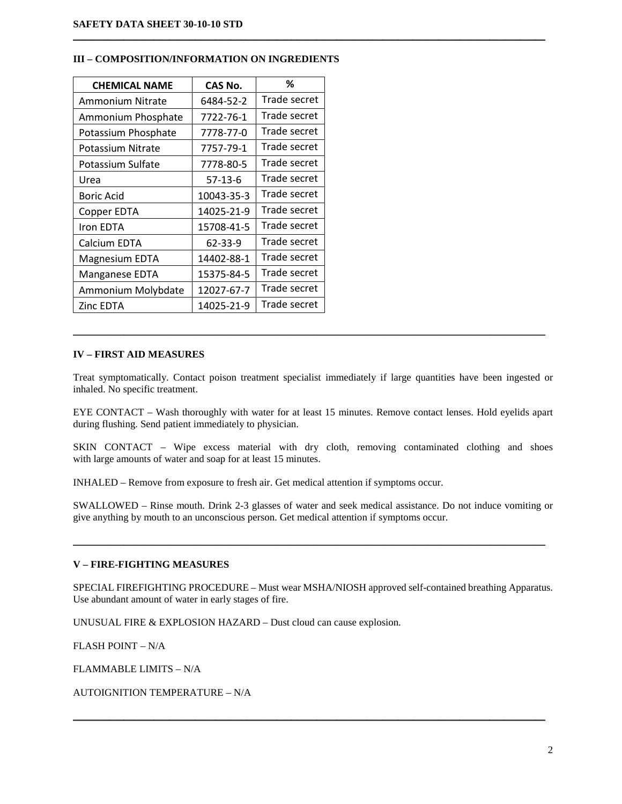| <b>CHEMICAL NAME</b>    | CAS No.    | %            |
|-------------------------|------------|--------------|
| <b>Ammonium Nitrate</b> | 6484-52-2  | Trade secret |
| Ammonium Phosphate      | 7722-76-1  | Trade secret |
| Potassium Phosphate     | 7778-77-0  | Trade secret |
| Potassium Nitrate       | 7757-79-1  | Trade secret |
| Potassium Sulfate       | 7778-80-5  | Trade secret |
| Urea                    | $57-13-6$  | Trade secret |
| Boric Acid              | 10043-35-3 | Trade secret |
| Copper EDTA             | 14025-21-9 | Trade secret |
| Iron EDTA               | 15708-41-5 | Trade secret |
| Calcium EDTA            | 62-33-9    | Trade secret |
| <b>Magnesium EDTA</b>   | 14402-88-1 | Trade secret |
| Manganese EDTA          | 15375-84-5 | Trade secret |
| Ammonium Molybdate      | 12027-67-7 | Trade secret |
| <b>Zinc EDTA</b>        | 14025-21-9 | Trade secret |

## **III – COMPOSITION/INFORMATION ON INGREDIENTS**

## **IV – FIRST AID MEASURES**

Treat symptomatically. Contact poison treatment specialist immediately if large quantities have been ingested or inhaled. No specific treatment.

\_\_\_\_\_\_\_\_\_\_\_\_\_\_\_\_\_\_\_\_\_\_\_\_\_\_\_\_\_\_\_\_\_\_\_\_\_\_\_\_\_\_\_\_\_\_\_\_\_\_\_\_\_\_\_\_\_\_\_\_\_\_\_\_\_\_\_\_\_\_\_\_\_\_\_\_\_\_\_\_\_\_\_\_\_\_\_\_\_\_\_\_\_

 $\mathcal{L}_\mathcal{L} = \{ \mathcal{L}_\mathcal{L} = \{ \mathcal{L}_\mathcal{L} = \{ \mathcal{L}_\mathcal{L} = \{ \mathcal{L}_\mathcal{L} = \{ \mathcal{L}_\mathcal{L} = \{ \mathcal{L}_\mathcal{L} = \{ \mathcal{L}_\mathcal{L} = \{ \mathcal{L}_\mathcal{L} = \{ \mathcal{L}_\mathcal{L} = \{ \mathcal{L}_\mathcal{L} = \{ \mathcal{L}_\mathcal{L} = \{ \mathcal{L}_\mathcal{L} = \{ \mathcal{L}_\mathcal{L} = \{ \mathcal{L}_\mathcal{$ 

EYE CONTACT – Wash thoroughly with water for at least 15 minutes. Remove contact lenses. Hold eyelids apart during flushing. Send patient immediately to physician.

SKIN CONTACT – Wipe excess material with dry cloth, removing contaminated clothing and shoes with large amounts of water and soap for at least 15 minutes.

INHALED – Remove from exposure to fresh air. Get medical attention if symptoms occur.

SWALLOWED – Rinse mouth. Drink 2-3 glasses of water and seek medical assistance. Do not induce vomiting or give anything by mouth to an unconscious person. Get medical attention if symptoms occur.

\_\_\_\_\_\_\_\_\_\_\_\_\_\_\_\_\_\_\_\_\_\_\_\_\_\_\_\_\_\_\_\_\_\_\_\_\_\_\_\_\_\_\_\_\_\_\_\_\_\_\_\_\_\_\_\_\_\_\_\_\_\_\_\_\_\_\_\_\_\_\_\_\_\_\_\_\_\_\_\_\_\_\_\_\_\_\_\_\_\_\_\_\_

# **V – FIRE-FIGHTING MEASURES**

SPECIAL FIREFIGHTING PROCEDURE – Must wear MSHA/NIOSH approved self-contained breathing Apparatus. Use abundant amount of water in early stages of fire.

\_\_\_\_\_\_\_\_\_\_\_\_\_\_\_\_\_\_\_\_\_\_\_\_\_\_\_\_\_\_\_\_\_\_\_\_\_\_\_\_\_\_\_\_\_\_\_\_\_\_\_\_\_\_\_\_\_\_\_\_\_\_\_\_\_\_\_\_\_\_\_\_\_\_\_\_\_\_\_\_\_\_\_\_\_\_\_\_\_\_\_\_\_

UNUSUAL FIRE & EXPLOSION HAZARD – Dust cloud can cause explosion.

FLASH POINT – N/A

FLAMMABLE LIMITS – N/A

AUTOIGNITION TEMPERATURE – N/A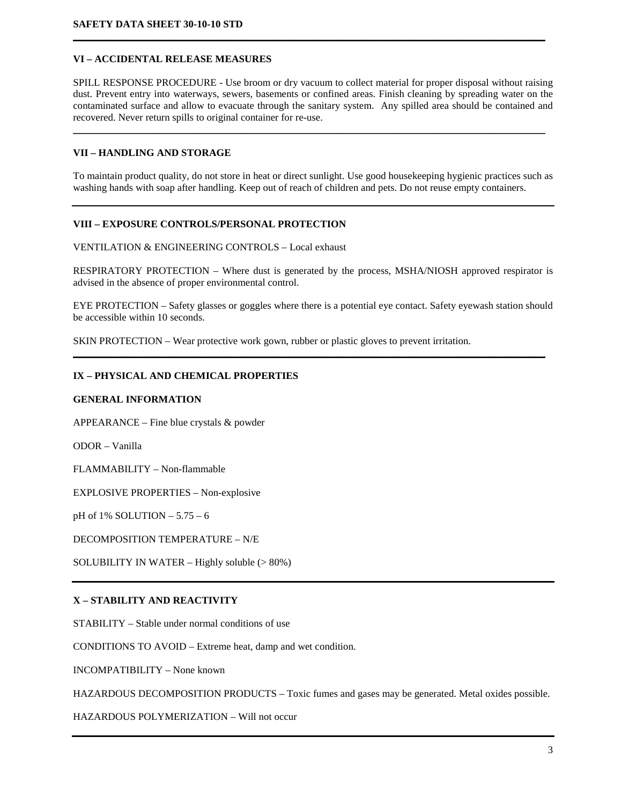# **VI – ACCIDENTAL RELEASE MEASURES**

SPILL RESPONSE PROCEDURE - Use broom or dry vacuum to collect material for proper disposal without raising dust. Prevent entry into waterways, sewers, basements or confined areas. Finish cleaning by spreading water on the contaminated surface and allow to evacuate through the sanitary system. Any spilled area should be contained and recovered. Never return spills to original container for re-use.

 $\mathcal{L}_\mathcal{L} = \mathcal{L}_\mathcal{L} = \mathcal{L}_\mathcal{L} = \mathcal{L}_\mathcal{L} = \mathcal{L}_\mathcal{L} = \mathcal{L}_\mathcal{L} = \mathcal{L}_\mathcal{L} = \mathcal{L}_\mathcal{L} = \mathcal{L}_\mathcal{L} = \mathcal{L}_\mathcal{L} = \mathcal{L}_\mathcal{L} = \mathcal{L}_\mathcal{L} = \mathcal{L}_\mathcal{L} = \mathcal{L}_\mathcal{L} = \mathcal{L}_\mathcal{L} = \mathcal{L}_\mathcal{L} = \mathcal{L}_\mathcal{L}$ 

**\_\_\_\_\_\_\_\_\_\_\_\_\_\_\_\_\_\_\_\_\_\_\_\_\_\_\_\_\_\_\_\_\_\_\_\_\_\_\_\_\_\_\_\_\_\_\_\_\_\_\_\_\_\_\_\_\_\_\_\_\_\_\_\_\_\_\_\_\_\_\_\_\_\_\_\_\_\_\_\_\_\_\_\_\_\_\_\_\_\_\_\_\_**

## **VII – HANDLING AND STORAGE**

To maintain product quality, do not store in heat or direct sunlight. Use good housekeeping hygienic practices such as washing hands with soap after handling. Keep out of reach of children and pets. Do not reuse empty containers.

## **VIII – EXPOSURE CONTROLS/PERSONAL PROTECTION**

VENTILATION & ENGINEERING CONTROLS – Local exhaust

RESPIRATORY PROTECTION – Where dust is generated by the process, MSHA/NIOSH approved respirator is advised in the absence of proper environmental control.

EYE PROTECTION – Safety glasses or goggles where there is a potential eye contact. Safety eyewash station should be accessible within 10 seconds.

**\_\_\_\_\_\_\_\_\_\_\_\_\_\_\_\_\_\_\_\_\_\_\_\_\_\_\_\_\_\_\_\_\_\_\_\_\_\_\_\_\_\_\_\_\_\_\_\_\_\_\_\_\_\_\_\_\_\_\_\_\_\_\_\_\_\_\_\_\_\_\_\_\_\_\_\_\_\_\_\_\_\_\_\_\_\_\_\_\_\_\_\_\_**

SKIN PROTECTION – Wear protective work gown, rubber or plastic gloves to prevent irritation.

#### **IX – PHYSICAL AND CHEMICAL PROPERTIES**

#### **GENERAL INFORMATION**

APPEARANCE – Fine blue crystals & powder

ODOR – Vanilla

FLAMMABILITY – Non-flammable

EXPLOSIVE PROPERTIES – Non-explosive

pH of 1% SOLUTION – 5.75 – 6

DECOMPOSITION TEMPERATURE – N/E

SOLUBILITY IN WATER – Highly soluble (> 80%)

#### **X – STABILITY AND REACTIVITY**

STABILITY – Stable under normal conditions of use

CONDITIONS TO AVOID – Extreme heat, damp and wet condition.

INCOMPATIBILITY – None known

HAZARDOUS DECOMPOSITION PRODUCTS – Toxic fumes and gases may be generated. Metal oxides possible.

HAZARDOUS POLYMERIZATION – Will not occur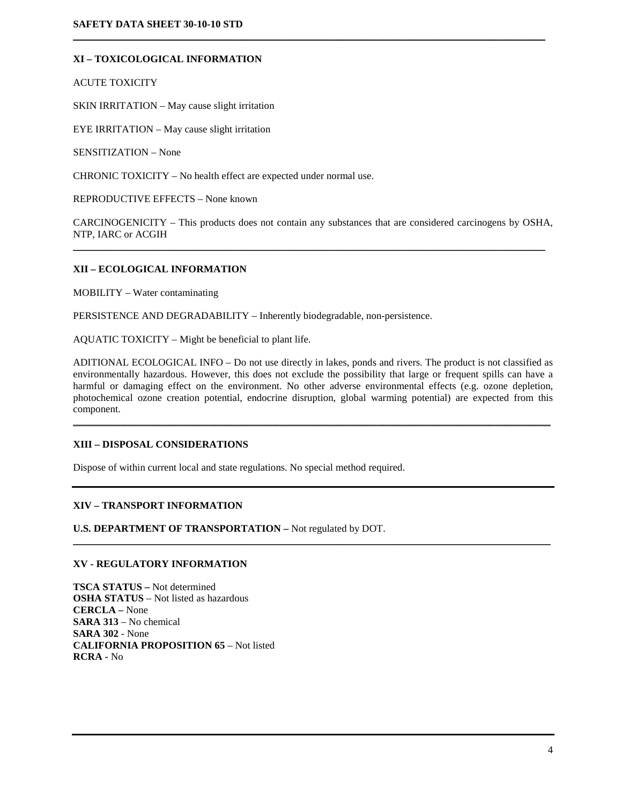# **XI – TOXICOLOGICAL INFORMATION**

ACUTE TOXICITY

SKIN IRRITATION – May cause slight irritation

EYE IRRITATION – May cause slight irritation

SENSITIZATION – None

CHRONIC TOXICITY – No health effect are expected under normal use.

REPRODUCTIVE EFFECTS – None known

CARCINOGENICITY – This products does not contain any substances that are considered carcinogens by OSHA, NTP, IARC or ACGIH

 $\mathcal{L}_\mathcal{L} = \{ \mathcal{L}_\mathcal{L} = \{ \mathcal{L}_\mathcal{L} = \{ \mathcal{L}_\mathcal{L} = \{ \mathcal{L}_\mathcal{L} = \{ \mathcal{L}_\mathcal{L} = \{ \mathcal{L}_\mathcal{L} = \{ \mathcal{L}_\mathcal{L} = \{ \mathcal{L}_\mathcal{L} = \{ \mathcal{L}_\mathcal{L} = \{ \mathcal{L}_\mathcal{L} = \{ \mathcal{L}_\mathcal{L} = \{ \mathcal{L}_\mathcal{L} = \{ \mathcal{L}_\mathcal{L} = \{ \mathcal{L}_\mathcal{$ 

 $\mathcal{L}_\mathcal{L} = \{ \mathcal{L}_\mathcal{L} = \{ \mathcal{L}_\mathcal{L} = \{ \mathcal{L}_\mathcal{L} = \{ \mathcal{L}_\mathcal{L} = \{ \mathcal{L}_\mathcal{L} = \{ \mathcal{L}_\mathcal{L} = \{ \mathcal{L}_\mathcal{L} = \{ \mathcal{L}_\mathcal{L} = \{ \mathcal{L}_\mathcal{L} = \{ \mathcal{L}_\mathcal{L} = \{ \mathcal{L}_\mathcal{L} = \{ \mathcal{L}_\mathcal{L} = \{ \mathcal{L}_\mathcal{L} = \{ \mathcal{L}_\mathcal{$ 

#### **XII – ECOLOGICAL INFORMATION**

MOBILITY – Water contaminating

PERSISTENCE AND DEGRADABILITY – Inherently biodegradable, non-persistence.

AQUATIC TOXICITY – Might be beneficial to plant life.

ADITIONAL ECOLOGICAL INFO – Do not use directly in lakes, ponds and rivers. The product is not classified as environmentally hazardous. However, this does not exclude the possibility that large or frequent spills can have a harmful or damaging effect on the environment. No other adverse environmental effects (e.g. ozone depletion, photochemical ozone creation potential, endocrine disruption, global warming potential) are expected from this component.

 $\mathcal{L}_\mathcal{L} = \{ \mathcal{L}_\mathcal{L} = \{ \mathcal{L}_\mathcal{L} = \{ \mathcal{L}_\mathcal{L} = \{ \mathcal{L}_\mathcal{L} = \{ \mathcal{L}_\mathcal{L} = \{ \mathcal{L}_\mathcal{L} = \{ \mathcal{L}_\mathcal{L} = \{ \mathcal{L}_\mathcal{L} = \{ \mathcal{L}_\mathcal{L} = \{ \mathcal{L}_\mathcal{L} = \{ \mathcal{L}_\mathcal{L} = \{ \mathcal{L}_\mathcal{L} = \{ \mathcal{L}_\mathcal{L} = \{ \mathcal{L}_\mathcal{$ 

 $\mathcal{L}_\mathcal{L} = \{ \mathcal{L}_\mathcal{L} = \{ \mathcal{L}_\mathcal{L} = \{ \mathcal{L}_\mathcal{L} = \{ \mathcal{L}_\mathcal{L} = \{ \mathcal{L}_\mathcal{L} = \{ \mathcal{L}_\mathcal{L} = \{ \mathcal{L}_\mathcal{L} = \{ \mathcal{L}_\mathcal{L} = \{ \mathcal{L}_\mathcal{L} = \{ \mathcal{L}_\mathcal{L} = \{ \mathcal{L}_\mathcal{L} = \{ \mathcal{L}_\mathcal{L} = \{ \mathcal{L}_\mathcal{L} = \{ \mathcal{L}_\mathcal{$ 

## **XIII – DISPOSAL CONSIDERATIONS**

Dispose of within current local and state regulations. No special method required.

## **XIV – TRANSPORT INFORMATION**

**U.S. DEPARTMENT OF TRANSPORTATION –** Not regulated by DOT.

# **XV - REGULATORY INFORMATION**

**TSCA STATUS –** Not determined **OSHA STATUS** – Not listed as hazardous **CERCLA –** None **SARA 313** – No chemical **SARA 302** - None **CALIFORNIA PROPOSITION 65** – Not listed **RCRA -** No